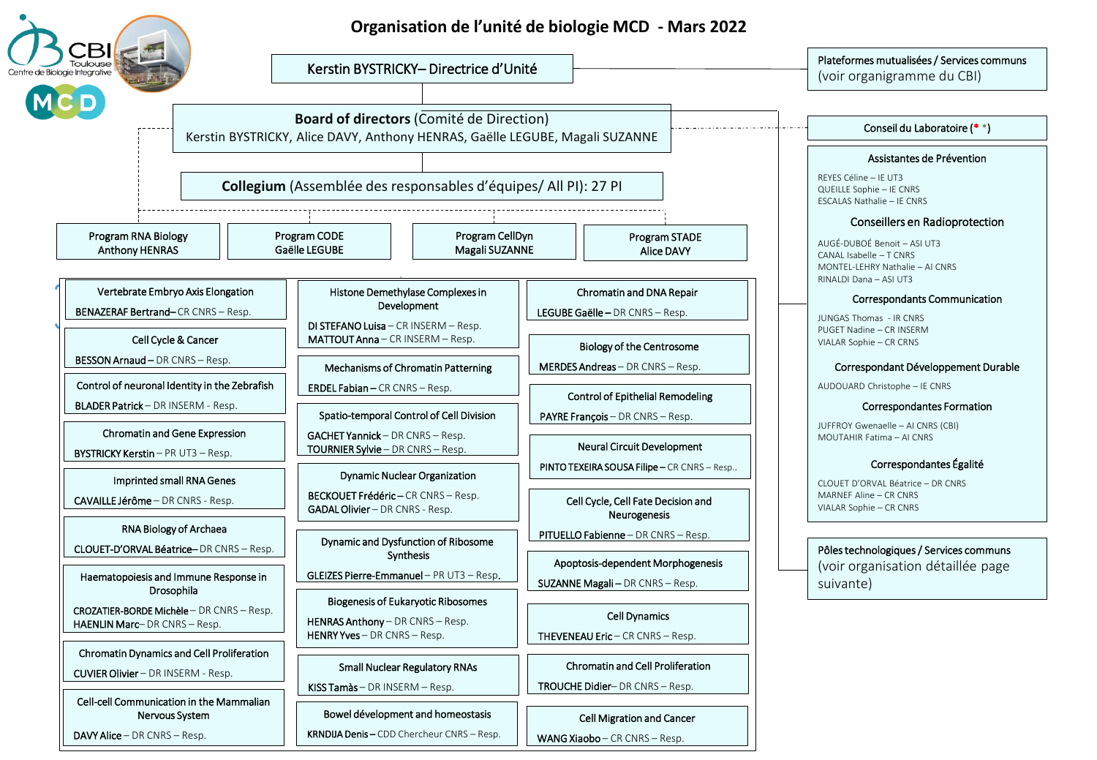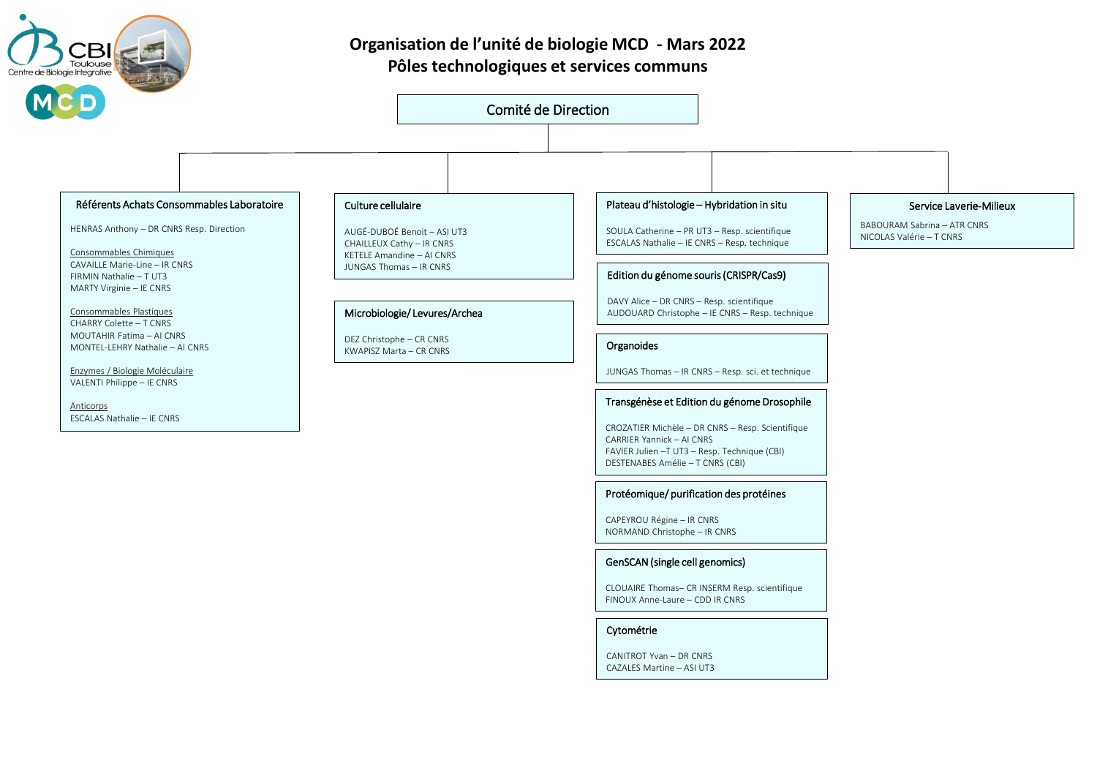

## **Organisation de l'unité de biologie MCD - Mars 2022 Pôles technologiques et services communs**

### Comité de Direction

### Référents Achats Consommables Laboratoire

HENRAS Anthony – DR CNRS Resp. Direction

Consommables Chimiques CAVAILLE Marie-Line – IR CNRS FIRMIN Nathalie – T UT3 MARTY Virginie – IE CNRS

Consommables Plastiques CHARRY Colette – T CNRS MOUTAHIR Fatima – AI CNRS MONTEL-LEHRY Nathalie – AI CNRS

Enzymes / Biologie Moléculaire VALENTI Philippe – IE CNRS

Anticorps ESCALAS Nathalie – IE CNRS

### Culture cellulaire

AUGÉ-DUBOÉ Benoit – ASI UT3 CHAILLEUX Cathy – IR CNRS KETELE Amandine – AI CNRS JUNGAS Thomas – IR CNRS

### Microbiologie/ Levures/Archea

DEZ Christophe – CR CNRS KWAPISZ Marta – CR CNRS ORGANIZATION CHE CONSUMING THE CONTROL OF CONSUMING THE CONSUMING OF CONSUMING THE CONSU

### Plateau d'histologie – Hybridation in situ

SOULA Catherine – PR UT3 – Resp. scientifique ESCALAS Nathalie – IE CNRS – Resp. technique

### Edition du génome souris (CRISPR/Cas9**)**

DAVY Alice – DR CNRS – Resp. scientifique AUDOUARD Christophe – IE CNRS – Resp. technique

JUNGAS Thomas – IR CNRS – Resp. sci. et technique

### Transgénèse et Edition du génome Drosophile

CROZATIER Michèle – DR CNRS – Resp. Scientifique CARRIER Yannick – AI CNRS FAVIER Julien –T UT3 – Resp. Technique (CBI) DESTENABES Amélie – T CNRS (CBI)

### Protéomique/ purification des protéines

CAPEYROU Régine – IR CNRS NORMAND Christophe – IR CNRS

### GenSCAN (single cell genomics)

CLOUAIRE Thomas– CR INSERM Resp. scientifique FINOUX Anne-Laure – CDD IR CNRS

### Cytométrie

CANITROT Yvan – DR CNRS CAZALES Martine – ASI UT3

### Service Laverie-Milieux

BABOURAM Sabrina – ATR CNRS NICOLAS Valérie – T CNRS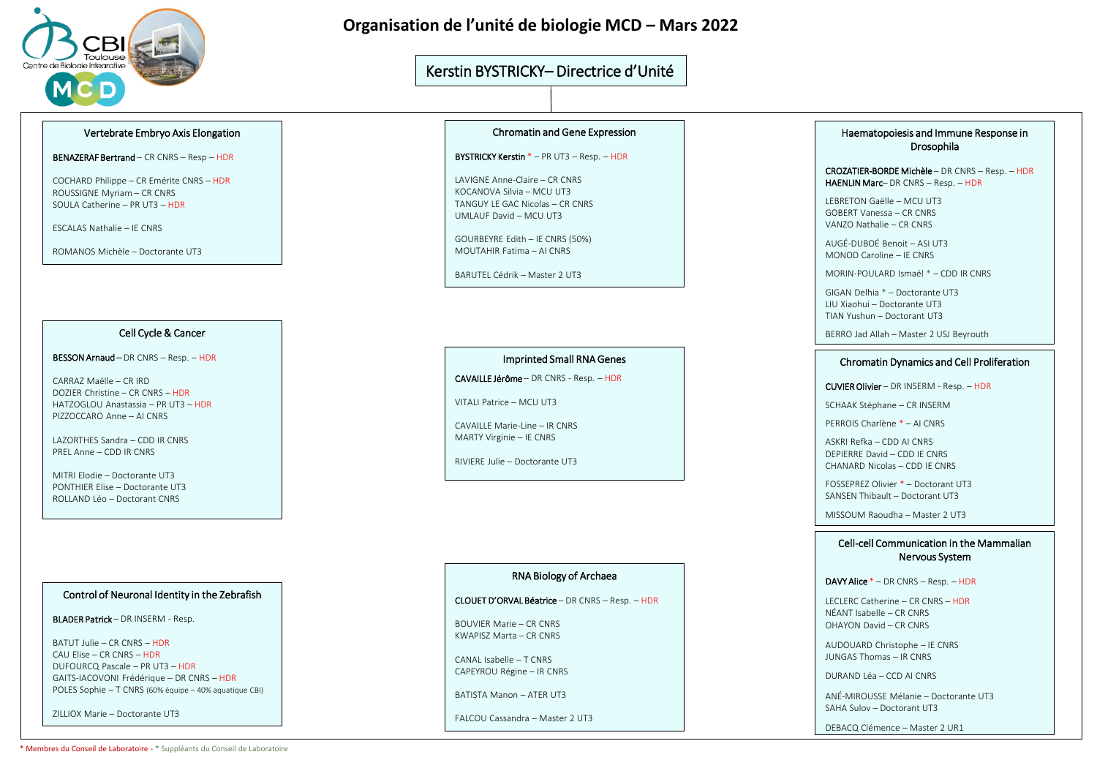

### **Organisation de l'unité de biologie MCD – Mars 2022**

### Kerstin BYSTRICKY– Directrice d'Unité

### Vertebrate Embryo Axis Elongation

BENAZERAF Bertrand – CR CNRS – Resp – HDR

COCHARD Philippe – CR Emérite CNRS – HDR ROUSSIGNE Myriam – CR CNRS SOULA Catherine – PR UT3 – HDR

ESCALAS Nathalie – IE CNRS

ROMANOS Michèle – Doctorante UT3

### Cell Cycle & Cancer

BESSON Arnaud – DR CNRS – Resp. – HDR

CARRAZ Maëlle – CR IRD DOZIER Christine – CR CNRS – HDR HATZOGLOU Anastassia – PR UT3 – HDR PIZZOCCARO Anne – AI CNRS

LAZORTHES Sandra – CDD IR CNRS PREL Anne – CDD IR CNRS

MITRI Elodie – Doctorante UT3 PONTHIER Elise – Doctorante UT3 ROLLAND Léo – Doctorant CNRS

### Control of Neuronal Identity in the Zebrafish

BLADER Patrick – DR INSERM - Resp.

BATUT Julie – CR CNRS – HDR CAU Elise – CR CNRS – HDR DUFOURCQ Pascale – PR UT3 – HDR GAITS-IACOVONI Frédérique – DR CNRS – HDR POLES Sophie – T CNRS (60% équipe – 40% aquatique CBI)

ZILLIOX Marie – Doctorante UT3

### Chromatin and Gene Expression

BYSTRICKY Kerstin \* – PR UT3 – Resp. – HDR

LAVIGNE Anne-Claire – CR CNRS KOCANOVA Silvia – MCU UT3 TANGUY LE GAC Nicolas – CR CNRS UMLAUF David – MCU UT3

GOURBEYRE Edith – IE CNRS (50%) MOUTAHIR Fatima – AI CNRS

BARUTEL Cédrik – Master 2 UT3

### Imprinted Small RNA Genes

CAVAILLE Jérôme – DR CNRS - Resp. – HDR

VITALI Patrice – MCU UT3

CAVAILLE Marie-Line – IR CNRS MARTY Virginie – IE CNRS

RIVIERE Julie – Doctorante UT3

### RNA Biology of Archaea

CLOUET D'ORVAL Béatrice – DR CNRS – Resp. – HDR

BOUVIER Marie – CR CNRS KWAPISZ Marta – CR CNRS

CANAL Isabelle – T CNRS CAPEYROU Régine – IR CNRS

BATISTA Manon – ATER UT3

FALCOU Cassandra – Master 2 UT3

### Haematopoiesis and Immune Response in Drosophila

CROZATIER-BORDE Michèle – DR CNRS – Resp. – HDR HAENLIN Marc– DR CNRS – Resp. – HDR

LEBRETON Gaëlle – MCU UT3 GOBERT Vanessa – CR CNRS VANZO Nathalie – CR CNRS

AUGÉ-DUBOÉ Benoit – ASI UT3 MONOD Caroline – IE CNRS

MORIN-POULARD Ismaël \* – CDD IR CNRS

GIGAN Delhia \* – Doctorante UT3 LIU Xiaohui – Doctorante UT3 TIAN Yushun – Doctorant UT3

BERRO Jad Allah – Master 2 USJ Beyrouth

#### Chromatin Dynamics and Cell Proliferation

CUVIER Olivier – DR INSERM - Resp. – HDR

SCHAAK Stéphane – CR INSERM

PERROIS Charlène \* – AI CNRS

ASKRI Refka – CDD AI CNRS DEPIERRE David – CDD IE CNRS CHANARD Nicolas – CDD IE CNRS

FOSSEPREZ Olivier \* – Doctorant UT3 SANSEN Thibault – Doctorant UT3

MISSOUM Raoudha – Master 2 UT3

### Cell-cell Communication in the Mammalian Nervous System

DAVY Alice \* – DR CNRS – Resp. – HDR

LECLERC Catherine – CR CNRS – HDR NÉANT Isabelle – CR CNRS OHAYON David – CR CNRS

AUDOUARD Christophe – IE CNRS JUNGAS Thomas – IR CNRS

DURAND Léa – CCD AI CNRS

ANÉ-MIROUSSE Mélanie – Doctorante UT3 SAHA Sulov – Doctorant UT3

DEBACQ Clémence – Master 2 UR1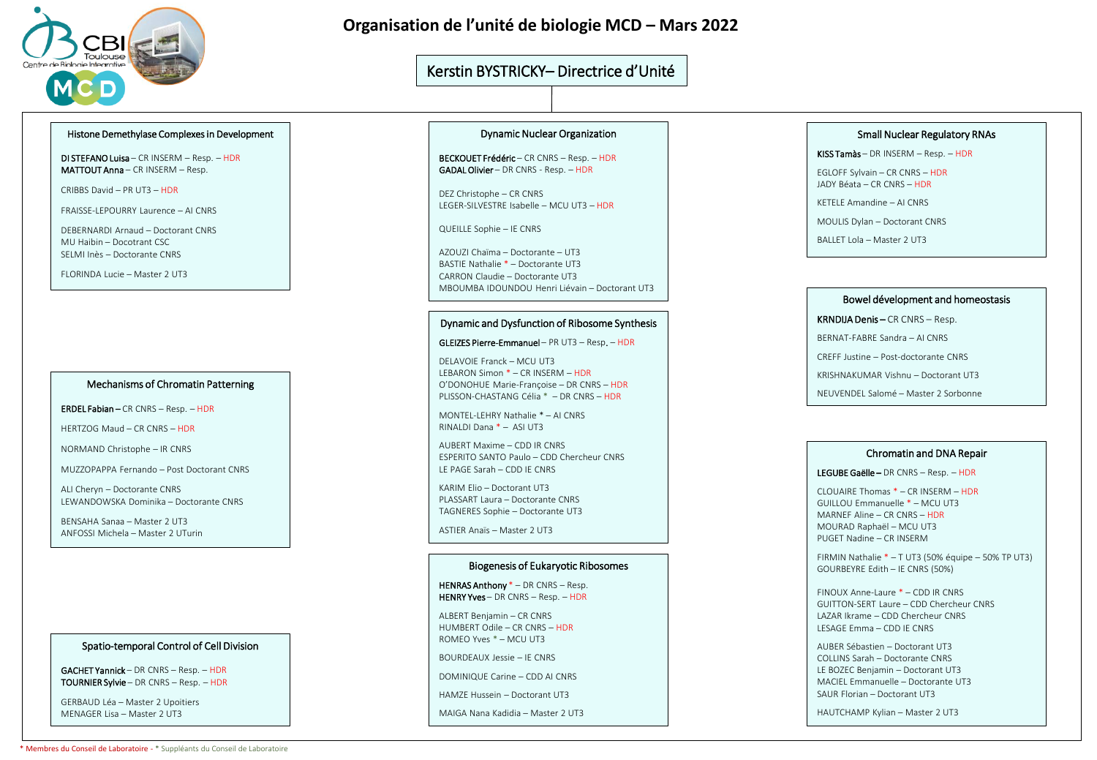

### **Organisation de l'unité de biologie MCD – Mars 2022**

### Kerstin BYSTRICKY– Directrice d'Unité

### Histone Demethylase Complexes in Development

DI STEFANO Luisa – CR INSERM – Resp. – HDR MATTOUT Anna – CR INSERM – Resp.

CRIBBS David – PR UT3 – HDR

FRAISSE-LEPOURRY Laurence – AI CNRS

DEBERNARDI Arnaud – Doctorant CNRS MU Haibin – Docotrant CSC SELMI Inès – Doctorante CNRS

FLORINDA Lucie – Master 2 UT3

### Mechanisms of Chromatin Patterning

ERDEL Fabian – CR CNRS – Resp. – HDR

HERTZOG Maud – CR CNRS – HDR

NORMAND Christophe – IR CNRS

MUZZOPAPPA Fernando – Post Doctorant CNRS

ALI Cheryn – Doctorante CNRS LEWANDOWSKA Dominika – Doctorante CNRS

BENSAHA Sanaa – Master 2 UT3 ANFOSSI Michela – Master 2 UTurin

### Spatio-temporal Control of Cell Division

GACHET Yannick – DR CNRS – Resp. – HDR TOURNIER Sylvie – DR CNRS – Resp. – HDR

GERBAUD Léa – Master 2 Upoitiers MENAGER Lisa – Master 2 UT3

#### Dynamic Nuclear Organization

BECKOUET Frédéric – CR CNRS – Resp. – HDR GADAL Olivier – DR CNRS - Resp. – HDR

DEZ Christophe – CR CNRS LEGER-SILVESTRE Isabelle – MCU UT3 – HDR

QUEILLE Sophie – IE CNRS

AZOUZI Chaïma – Doctorante – UT3 BASTIE Nathalie \* – Doctorante UT3 CARRON Claudie – Doctorante UT3 MBOUMBA IDOUNDOU Henri Liévain – Doctorant UT3

### Dynamic and Dysfunction of Ribosome Synthesis

GLEIZES Pierre-Emmanuel – PR UT3 – Resp. – HDR

DELAVOIE Franck – MCU UT3 LEBARON Simon \* – CR INSERM – HDR O'DONOHUE Marie-Françoise – DR CNRS – HDR PLISSON-CHASTANG Célia \* – DR CNRS – HDR

MONTEL-LEHRY Nathalie \* – AI CNRS RINALDI Dana \* – ASI UT3

AUBERT Maxime – CDD IR CNRS ESPERITO SANTO Paulo – CDD Chercheur CNRS LE PAGE Sarah – CDD IE CNRS

KARIM Elio – Doctorant UT3 PLASSART Laura – Doctorante CNRS TAGNERES Sophie – Doctorante UT3

ASTIER Anaïs – Master 2 UT3

### Biogenesis of Eukaryotic Ribosomes

HENRAS Anthony \* – DR CNRS – Resp. HENRY Yves – DR CNRS – Resp. – HDR

ALBERT Benjamin – CR CNRS HUMBERT Odile – CR CNRS – HDR ROMEO Yves \* – MCU UT3

BOURDEAUX Jessie – IE CNRS

DOMINIQUE Carine – CDD AI CNRS

HAMZE Hussein – Doctorant UT3

MAIGA Nana Kadidia – Master 2 UT3

### Small Nuclear Regulatory RNAs

KISS Tamàs – DR INSERM – Resp. – HDR

EGLOFF Sylvain – CR CNRS – HDR JADY Béata – CR CNRS – HDR

KETELE Amandine – AI CNRS

MOULIS Dylan – Doctorant CNRS

BALLET Lola – Master 2 UT3

#### Bowel dévelopment and homeostasis

KRNDIJA Denis – CR CNRS – Resp.

BERNAT-FABRE Sandra – AI CNRS

CREFF Justine – Post-doctorante CNRS

KRISHNAKUMAR Vishnu – Doctorant UT3

NEUVENDEL Salomé – Master 2 Sorbonne

#### Chromatin and DNA Repair

#### LEGUBE Gaëlle – DR CNRS – Resp. – HDR

CLOUAIRE Thomas \* – CR INSERM – HDR GUILLOU Emmanuelle \* – MCU UT3 MARNEF Aline – CR CNRS – HDR MOURAD Raphaël – MCU UT3 PUGET Nadine – CR INSERM

FIRMIN Nathalie \* – T UT3 (50% équipe – 50% TP UT3) GOURBEYRE Edith – IE CNRS (50%)

FINOUX Anne-Laure \* – CDD IR CNRS GUITTON-SERT Laure – CDD Chercheur CNRS LAZAR Ikrame – CDD Chercheur CNRS LESAGE Emma – CDD IE CNRS

AUBER Sébastien – Doctorant UT3 COLLINS Sarah – Doctorante CNRS LE BOZEC Benjamin – Doctorant UT3 MACIEL Emmanuelle – Doctorante UT3 SAUR Florian – Doctorant UT3

HAUTCHAMP Kylian – Master 2 UT3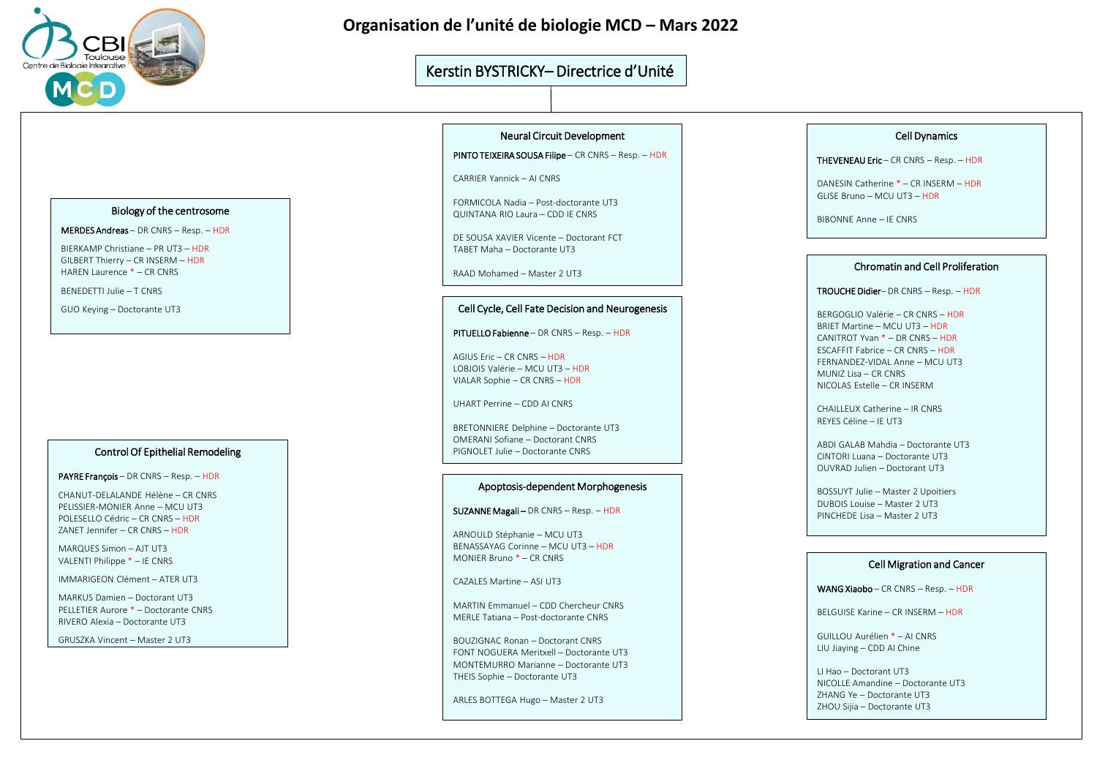

### **Organisation de l'unité de biologie MCD – Mars 2022**

### Kerstin BYSTRICKY– Directrice d'Unité

### Biology of the centrosome

MERDES Andreas – DR CNRS – Resp. – HDR

BIERKAMP Christiane – PR UT3 – HDR GILBERT Thierry – CR INSERM – HDR HAREN Laurence \* – CR CNRS

BENEDETTI Julie – T CNRS

GUO Keying – Doctorante UT3

### Control Of Epithelial Remodeling

PAYRE François – DR CNRS – Resp. – HDR

CHANUT-DELALANDE Hélène – CR CNRS PELISSIER-MONIER Anne – MCU UT3 POLESELLO Cédric – CR CNRS – HDR ZANET Jennifer – CR CNRS – HDR

MARQUES Simon – AJT UT3 VALENTI Philippe \* – IE CNRS

IMMARIGEON Clément – ATER UT3

MARKUS Damien – Doctorant UT3 PELLETIER Aurore \* – Doctorante CNRS RIVERO Alexia – Doctorante UT3

GRUSZKA Vincent – Master 2 UT3

### Neural Circuit Development

PINTO TEIXEIRA SOUSA Filipe – CR CNRS – Resp. – HDR

CARRIER Yannick – AI CNRS

FORMICOLA Nadia – Post-doctorante UT3 QUINTANA RIO Laura – CDD IE CNRS

DE SOUSA XAVIER Vicente – Doctorant FCT TABET Maha – Doctorante UT3

RAAD Mohamed – Master 2 UT3

### Cell Cycle, Cell Fate Decision and Neurogenesis

PITUELLO Fabienne – DR CNRS – Resp. – HDR

AGIUS Eric – CR CNRS – HDR LOBJOIS Valérie – MCU UT3 – HDR VIALAR Sophie – CR CNRS – HDR

UHART Perrine – CDD AI CNRS

BRETONNIERE Delphine – Doctorante UT3 OMERANI Sofiane – Doctorant CNRS PIGNOLET Julie – Doctorante CNRS

### Apoptosis-dependent Morphogenesis

SUZANNE Magali – DR CNRS – Resp. – HDR

ARNOULD Stéphanie – MCU UT3 BENASSAYAG Corinne – MCU UT3 – HDR MONIER Bruno \* – CR CNRS

CAZALES Martine – ASI UT3

MARTIN Emmanuel – CDD Chercheur CNRS MERLE Tatiana – Post-doctorante CNRS

BOUZIGNAC Ronan – Doctorant CNRS FONT NOGUERA Meritxell – Doctorante UT3 MONTEMURRO Marianne – Doctorante UT3 THEIS Sophie – Doctorante UT3

ARLES BOTTEGA Hugo – Master 2 UT3

### Cell Dynamics

THEVENEAU Eric – CR CNRS – Resp. – HDR

DANESIN Catherine \* – CR INSERM – HDR GLISE Bruno – MCU UT3 – HDR

BIBONNE Anne – IE CNRS

### Chromatin and Cell Proliferation

TROUCHE Didier– DR CNRS – Resp. – HDR

BERGOGLIO Valérie – CR CNRS – HDR BRIET Martine – MCU UT3 – HDR CANITROT Yvan \* – DR CNRS – HDR ESCAFFIT Fabrice – CR CNRS – HDR FERNANDEZ-VIDAL Anne – MCU UT3 MUNIZ Lisa – CR CNRS NICOLAS Estelle – CR INSERM

CHAILLEUX Catherine – IR CNRS REYES Céline – IE UT3

ABDI GALAB Mahdia – Doctorante UT3 CINTORI Luana – Doctorante UT3 OUVRAD Julien – Doctorant UT3

BOSSUYT Julie – Master 2 Upoitiers DUBOIS Louise – Master 2 UT3 PINCHEDE Lisa – Master 2 UT3

### Cell Migration and Cancer

WANG Xiaobo – CR CNRS – Resp. – HDR

BELGUISE Karine – CR INSERM – HDR

GUILLOU Aurélien \* – AI CNRS LIU Jiaying – CDD AI Chine

LI Hao – Doctorant UT3 NICOLLE Amandine – Doctorante UT3 ZHANG Ye – Doctorante UT3 ZHOU Sijia – Doctorante UT3